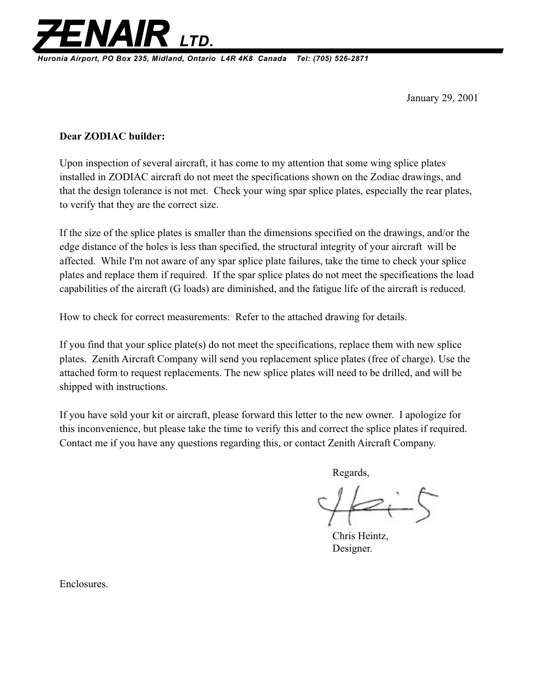

**Huronia Airport, PO Box 235, Midland, Ontario L4R 4K8 Canada Tel: (705) 526-2871**

January 29, 2001

## **Dear ZODIAC builder:**

Upon inspection of several aircraft, it has come to my attention that some wing splice plates installed in ZODIAC aircraft do not meet the specifications shown on the Zodiac drawings, and that the design tolerance is not met. Check your wing spar splice plates, especially the rear plates, to verify that they are the correct size.

If the size of the splice plates is smaller than the dimensions specified on the drawings, and/or the edge distance of the holes is less than specified, the structural integrity of your aircraft will be affected. While I'm not aware of any spar splice plate failures, take the time to check your splice plates and replace them if required. If the spar splice plates do not meet the specifications the load capabilities of the aircraft (G loads) are diminished, and the fatigue life of the aircraft is reduced.

How to check for correct measurements: Refer to the attached drawing for details.

If you find that your splice plate(s) do not meet the specifications, replace them with new splice plates. Zenith Aircraft Company will send you replacement splice plates (free of charge). Use the attached form to request replacements. The new splice plates will need to be drilled, and will be shipped with instructions.

If you have sold your kit or aircraft, please forward this letter to the new owner. I apologize for this inconvenience, but please take the time to verify this and correct the splice plates if required. Contact me if you have any questions regarding this, or contact Zenith Aircraft Company.

Regards,

Chris Heintz, Designer.

Enclosures.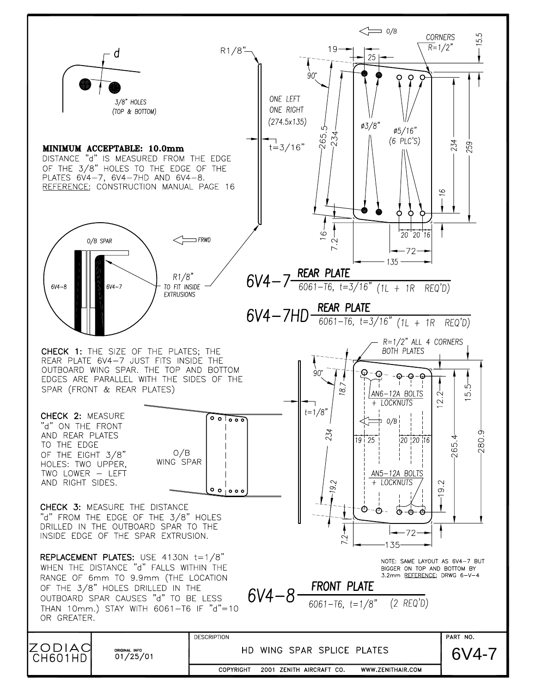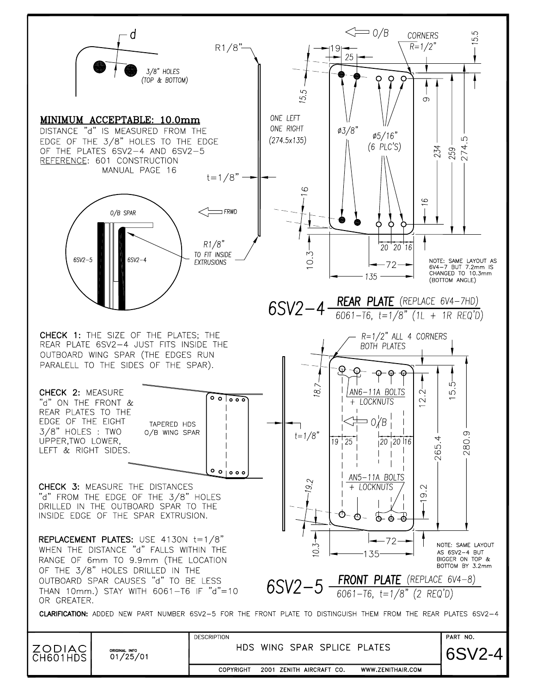